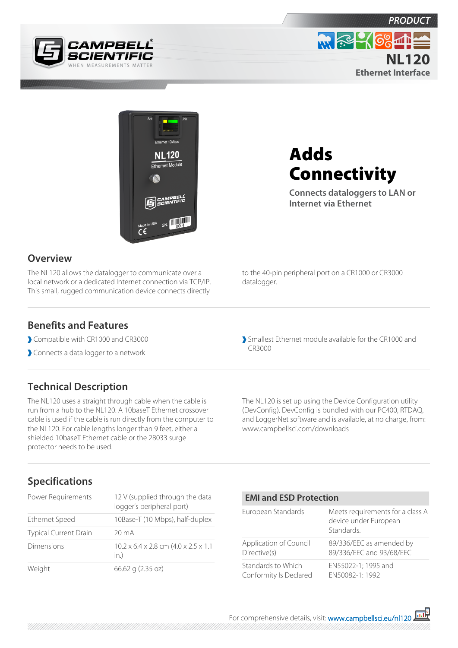





# Adds **Connectivity**

**Connects dataloggers to LAN or Internet via Ethernet**

## **Overview**

The NL120 allows the datalogger to communicate over a local network or a dedicated Internet connection via TCP/IP. This small, rugged communication device connects directly to the 40-pin peripheral port on a CR1000 or CR3000 datalogger.

### **Benefits and Features**

- Compatible with CR1000 and CR3000
- Connects a data logger to a network

Smallest Ethernet module available for the CR1000 and CR3000

# **Technical Description**

The NL120 uses a straight through cable when the cable is run from a hub to the NL120. A 10baseT Ethernet crossover cable is used if the cable is run directly from the computer to the NL120. For cable lengths longer than 9 feet, either a shielded 10baseT Ethernet cable or the 28033 surge protector needs to be used.

The NL120 is set up using the Device Configuration utility (DevConfig). DevConfig is bundled with our PC400, RTDAQ, and LoggerNet software and is available, at no charge, from: www.campbellsci.com/downloads

# **Specifications**

| Power Requirements           | 12 V (supplied through the data<br>logger's peripheral port)          |
|------------------------------|-----------------------------------------------------------------------|
| <b>Ethernet Speed</b>        | 10Base-T (10 Mbps), half-duplex                                       |
| <b>Typical Current Drain</b> | 20 mA                                                                 |
| Dimensions                   | $10.2 \times 6.4 \times 2.8$ cm $(4.0 \times 2.5 \times 1.1)$<br>in.) |
| Weight                       | 66.62 g (2.35 oz)                                                     |

#### **EMI and ESD Protection**

| European Standards     | Meets requirements for a class A<br>device under European<br>Standards |
|------------------------|------------------------------------------------------------------------|
| Application of Council | 89/336/EEC as amended by                                               |
| Directive(s)           | 89/336/EEC and 93/68/EEC                                               |
| Standards to Which     | EN55022-1; 1995 and                                                    |
| Conformity Is Declared | EN50082-1:1992                                                         |